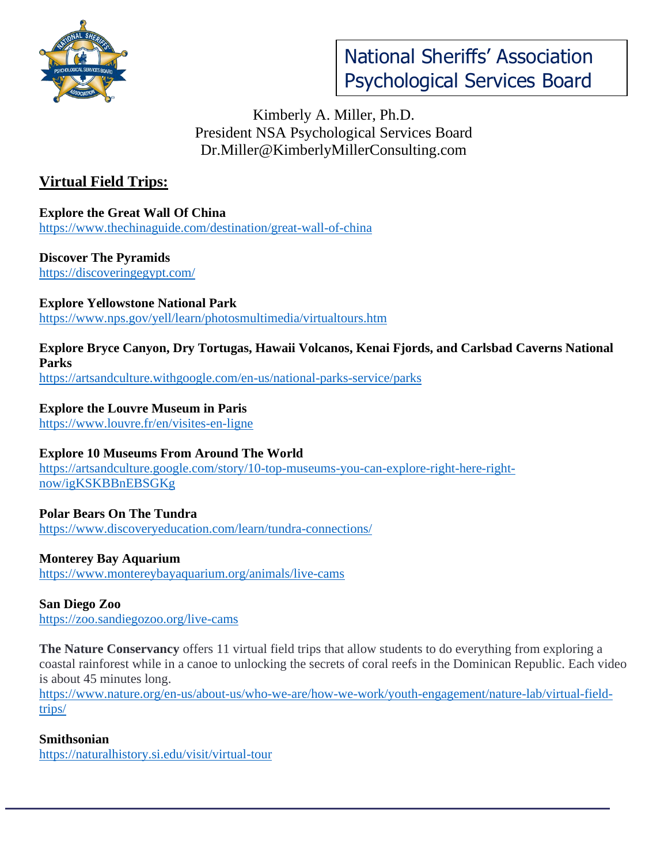

# Kimberly A. Miller, Ph.D. President NSA Psychological Services Board Dr.Miller@KimberlyMillerConsulting.com

# **Virtual Field Trips:**

**Explore the Great Wall Of China** <https://www.thechinaguide.com/destination/great-wall-of-china>

**Discover The Pyramids** <https://discoveringegypt.com/>

**Explore Yellowstone National Park** <https://www.nps.gov/yell/learn/photosmultimedia/virtualtours.htm>

#### **Explore Bryce Canyon, Dry Tortugas, Hawaii Volcanos, Kenai Fjords, and Carlsbad Caverns National Parks** <https://artsandculture.withgoogle.com/en-us/national-parks-service/parks>

**Explore the Louvre Museum in Paris**

<https://www.louvre.fr/en/visites-en-ligne>

#### **Explore 10 Museums From Around The World**

[https://artsandculture.google.com/story/10-top-museums-you-can-explore-right-here-right](https://artsandculture.google.com/story/10-top-museums-you-can-explore-right-here-right-now/igKSKBBnEBSGKg)[now/igKSKBBnEBSGKg](https://artsandculture.google.com/story/10-top-museums-you-can-explore-right-here-right-now/igKSKBBnEBSGKg)

**Polar Bears On The Tundra** <https://www.discoveryeducation.com/learn/tundra-connections/>

#### **Monterey Bay Aquarium**

<https://www.montereybayaquarium.org/animals/live-cams>

**San Diego Zoo** <https://zoo.sandiegozoo.org/live-cams>

**The Nature Conservancy** offers 11 virtual field trips that allow students to do everything from exploring a coastal rainforest while in a canoe to unlocking the secrets of coral reefs in the Dominican Republic. Each video is about 45 minutes long.

[https://www.nature.org/en-us/about-us/who-we-are/how-we-work/youth-engagement/nature-lab/virtual-field](https://www.nature.org/en-us/about-us/who-we-are/how-we-work/youth-engagement/nature-lab/virtual-field-trips/)[trips/](https://www.nature.org/en-us/about-us/who-we-are/how-we-work/youth-engagement/nature-lab/virtual-field-trips/)

#### **Smithsonian**

<https://naturalhistory.si.edu/visit/virtual-tour>